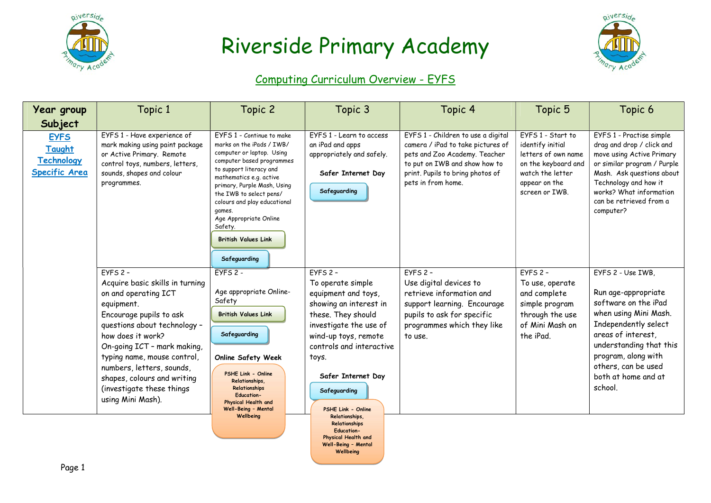



### Computing Curriculum Overview - EYFS

| Year group                                                         | Topic 1                                                                                                                                                                                                                                                                                                                                         | Topic 2                                                                                                                                                                                                                                                                                                                                                       | Topic 3                                                                                                                                                                                                                                                                            | Topic 4                                                                                                                                                                                             | Topic 5                                                                                                                                    | Topic 6                                                                                                                                                                                                                                            |
|--------------------------------------------------------------------|-------------------------------------------------------------------------------------------------------------------------------------------------------------------------------------------------------------------------------------------------------------------------------------------------------------------------------------------------|---------------------------------------------------------------------------------------------------------------------------------------------------------------------------------------------------------------------------------------------------------------------------------------------------------------------------------------------------------------|------------------------------------------------------------------------------------------------------------------------------------------------------------------------------------------------------------------------------------------------------------------------------------|-----------------------------------------------------------------------------------------------------------------------------------------------------------------------------------------------------|--------------------------------------------------------------------------------------------------------------------------------------------|----------------------------------------------------------------------------------------------------------------------------------------------------------------------------------------------------------------------------------------------------|
| Subject                                                            |                                                                                                                                                                                                                                                                                                                                                 |                                                                                                                                                                                                                                                                                                                                                               |                                                                                                                                                                                                                                                                                    |                                                                                                                                                                                                     |                                                                                                                                            |                                                                                                                                                                                                                                                    |
| <b>EYFS</b><br>Taught<br><b>Technology</b><br><b>Specific Area</b> | EYFS 1 - Have experience of<br>mark making using paint package<br>or Active Primary. Remote<br>control toys, numbers, letters,<br>sounds, shapes and colour<br>programmes.                                                                                                                                                                      | EYFS 1 - Continue to make<br>marks on the iPads / IWB/<br>computer or laptop. Using<br>computer based programmes<br>to support literacy and<br>mathematics e.g. active<br>primary, Purple Mash, Using<br>the IWB to select pens/<br>colours and play educational<br>games.<br>Age Appropriate Online<br>Safety.<br><b>British Values Link</b><br>Safeguarding | FYFS 1 - Learn to access<br>an iPad and apps<br>appropriately and safely.<br>Safer Internet Day<br>Safeguarding                                                                                                                                                                    | EYFS 1 - Children to use a digital<br>camera / iPad to take pictures of<br>pets and Zoo Academy. Teacher<br>to put on IWB and show how to<br>print. Pupils to bring photos of<br>pets in from home. | FYFS 1 - Start to<br>identify initial<br>letters of own name<br>on the keyboard and<br>watch the letter<br>appear on the<br>screen or IWB. | EYFS 1 - Practise simple<br>drag and drop / click and<br>move using Active Primary<br>or similar program / Purple<br>Mash. Ask questions about<br>Technology and how it<br>works? What information<br>can be retrieved from a<br>computer?         |
|                                                                    | $EYFS$ 2 -<br>Acquire basic skills in turning<br>on and operating ICT<br>equipment.<br>Encourage pupils to ask<br>questions about technology -<br>how does it work?<br>On-going ICT - mark making,<br>typing name, mouse control,<br>numbers, letters, sounds,<br>shapes, colours and writing<br>(investigate these things<br>using Mini Mash). | $EYFS2 -$<br>Age appropriate Online-<br>Safety<br><b>British Values Link</b><br>Safeguarding<br><b>Online Safety Week</b><br>PSHE Link - Online<br>Relationships,<br>Relationships<br><b>Education-</b><br>Physical Health and<br>Well-Being - Mental<br>Wellbeing                                                                                            | $EYFS$ 2 -<br>To operate simple<br>equipment and toys,<br>showing an interest in<br>these. They should<br>investigate the use of<br>wind-up toys, remote<br>controls and interactive<br>toys.<br>Safer Internet Day<br>Safeguarding<br><b>PSHE Link - Online</b><br>Relationships, | $EYFS$ 2 -<br>Use digital devices to<br>retrieve information and<br>support learning. Encourage<br>pupils to ask for specific<br>programmes which they like<br>to use.                              | $EYFS$ 2 -<br>To use, operate<br>and complete<br>simple program<br>through the use<br>of Mini Mash on<br>the iPad.                         | EYFS 2 - Use IWB,<br>Run age-appropriate<br>software on the iPad<br>when using Mini Mash.<br>Independently select<br>areas of interest,<br>understanding that this<br>program, along with<br>others, can be used<br>both at home and at<br>school. |
|                                                                    |                                                                                                                                                                                                                                                                                                                                                 |                                                                                                                                                                                                                                                                                                                                                               | Relationships<br><b>Education-</b><br>Physical Health and                                                                                                                                                                                                                          |                                                                                                                                                                                                     |                                                                                                                                            |                                                                                                                                                                                                                                                    |

Well-Being – Mental Wellbeing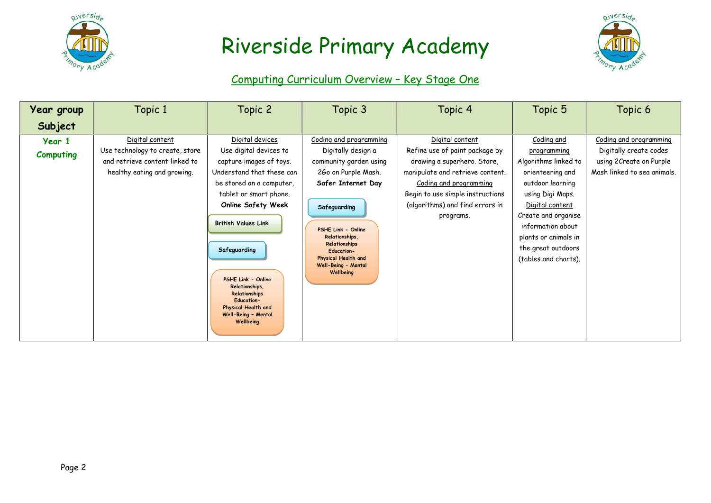



### Computing Curriculum Overview – Key Stage One

| <b>Year group</b><br>Subject | Topic 1                                                                                                             | Topic 2                                                                                                                                                                                                                                                  | Topic 3                                                                                                                                                                                                                                                                      | Topic 4                                                                                                                                                                                                                            | Topic 5                                                                                                                                                                                                                                            | Topic 6                                                                                                    |
|------------------------------|---------------------------------------------------------------------------------------------------------------------|----------------------------------------------------------------------------------------------------------------------------------------------------------------------------------------------------------------------------------------------------------|------------------------------------------------------------------------------------------------------------------------------------------------------------------------------------------------------------------------------------------------------------------------------|------------------------------------------------------------------------------------------------------------------------------------------------------------------------------------------------------------------------------------|----------------------------------------------------------------------------------------------------------------------------------------------------------------------------------------------------------------------------------------------------|------------------------------------------------------------------------------------------------------------|
| Year 1<br><b>Computing</b>   | Digital content<br>Use technology to create, store<br>and retrieve content linked to<br>healthy eating and growing. | Digital devices<br>Use digital devices to<br>capture images of toys.<br>Understand that these can<br>be stored on a computer,<br>tablet or smart phone.<br><b>Online Safety Week</b><br><b>British Values Link</b><br>Safeguarding<br>PSHE Link - Online | Coding and programming<br>Digitally design a<br>community garden using<br>2Go on Purple Mash.<br>Safer Internet Day<br>Safeguarding<br>PSHE Link - Online<br>Relationships,<br>Relationships<br><b>Education-</b><br>Physical Health and<br>Well-Being - Mental<br>Wellbeing | Digital content<br>Refine use of paint package by<br>drawing a superhero. Store,<br>manipulate and retrieve content.<br>Coding and programming<br>Begin to use simple instructions<br>(algorithms) and find errors in<br>programs. | Coding and<br>programming<br>Algorithms linked to<br>orienteering and<br>outdoor learning<br>using Digi Maps.<br>Digital content<br>Create and organise<br>information about<br>plants or animals in<br>the great outdoors<br>(tables and charts). | Coding and programming<br>Digitally create codes<br>using 2Create on Purple<br>Mash linked to sea animals. |
|                              |                                                                                                                     | Relationships,<br>Relationships<br><b>Education-</b><br>Physical Health and<br>Well-Being - Mental<br>Wellbeing                                                                                                                                          |                                                                                                                                                                                                                                                                              |                                                                                                                                                                                                                                    |                                                                                                                                                                                                                                                    |                                                                                                            |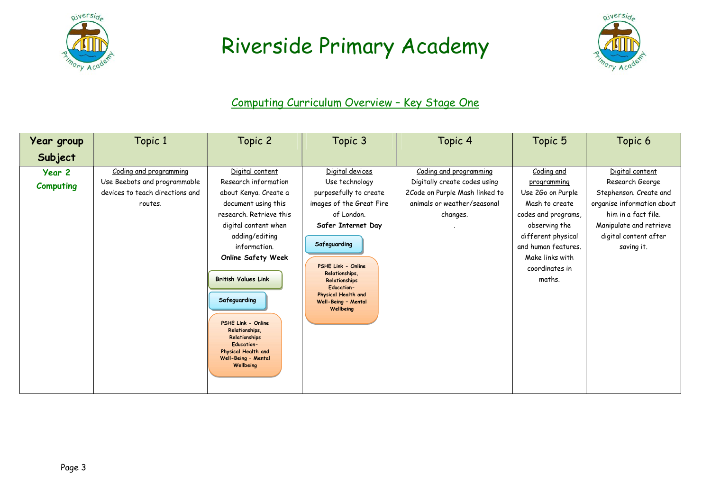



### Computing Curriculum Overview – Key Stage One

| Year group                 | Topic 1                                                                                              | Topic 2                                                                                                                                                                                                                                                                                                                                                                                          | Topic 3                                                                                                                                                                                                                                                                              | Topic 4                                                                                                                             | Topic 5                                                                                                                                                                                              | Topic 6                                                                                                                                                                             |
|----------------------------|------------------------------------------------------------------------------------------------------|--------------------------------------------------------------------------------------------------------------------------------------------------------------------------------------------------------------------------------------------------------------------------------------------------------------------------------------------------------------------------------------------------|--------------------------------------------------------------------------------------------------------------------------------------------------------------------------------------------------------------------------------------------------------------------------------------|-------------------------------------------------------------------------------------------------------------------------------------|------------------------------------------------------------------------------------------------------------------------------------------------------------------------------------------------------|-------------------------------------------------------------------------------------------------------------------------------------------------------------------------------------|
| Subject                    |                                                                                                      |                                                                                                                                                                                                                                                                                                                                                                                                  |                                                                                                                                                                                                                                                                                      |                                                                                                                                     |                                                                                                                                                                                                      |                                                                                                                                                                                     |
| Year 2<br><b>Computing</b> | Coding and programming<br>Use Beebots and programmable<br>devices to teach directions and<br>routes. | Digital content<br>Research information<br>about Kenya. Create a<br>document using this<br>research. Retrieve this<br>digital content when<br>adding/editing<br>information.<br><b>Online Safety Week</b><br><b>British Values Link</b><br>Safeguarding<br>PSHE Link - Online<br>Relationships,<br>Relationships<br><b>Education-</b><br>Physical Health and<br>Well-Being - Mental<br>Wellbeing | Digital devices<br>Use technology<br>purposefully to create<br>images of the Great Fire<br>of London.<br>Safer Internet Day<br>Safeguarding<br>PSHE Link - Online<br>Relationships,<br>Relationships<br><b>Education-</b><br>Physical Health and<br>Well-Being - Mental<br>Wellbeing | Coding and programming<br>Digitally create codes using<br>2Code on Purple Mash linked to<br>animals or weather/seasonal<br>changes. | Coding and<br>programming<br>Use 2Go on Purple<br>Mash to create<br>codes and programs,<br>observing the<br>different physical<br>and human features.<br>Make links with<br>coordinates in<br>maths. | Digital content<br>Research George<br>Stephenson. Create and<br>organise information about<br>him in a fact file.<br>Manipulate and retrieve<br>digital content after<br>saving it. |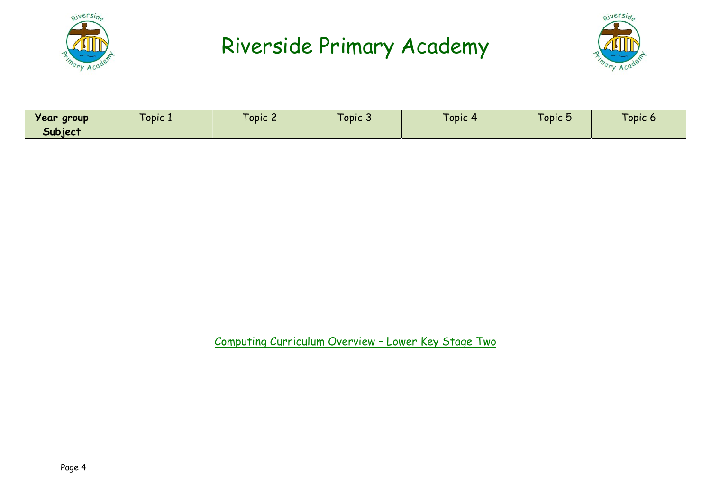



| opic.<br><b>Lopic 3</b><br><b>d</b> Opic 5<br>Year group<br><b>LODIC</b><br>$1$ Opic $\sim$<br>l opic<br>- 1<br>Subjec' |
|-------------------------------------------------------------------------------------------------------------------------|
|-------------------------------------------------------------------------------------------------------------------------|

Computing Curriculum Overview – Lower Key Stage Two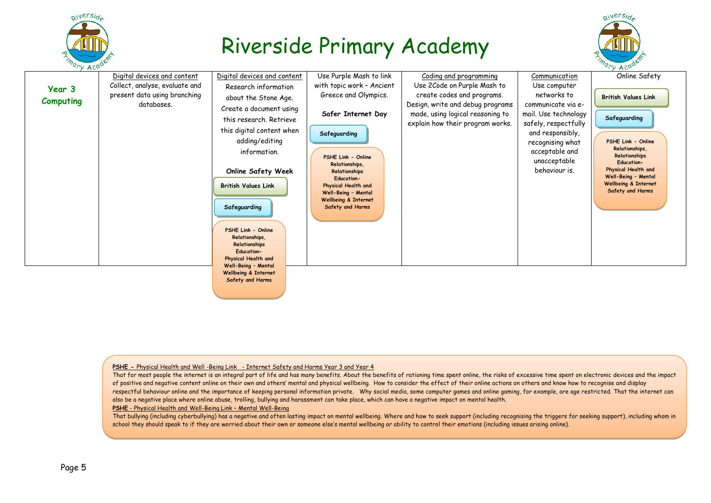

piversid



#### PSHE - Physical Health and Well -Being Link - Internet Safety and Harms Year 3 and Year 4

Safety and Harms

That for most people the internet is an integral part of life and has many benefits. About the benefits of rationing time spent online, the risks of excessive time spent on electronic devices and the impact of positive and negative content online on their own and others' mental and physical wellbeing. How to consider the effect of their online actions on others and know how to recognise and display respectful behaviour online and the importance of keeping personal information private. Why social media, some computer games and online gaming, for example, are age restricted. That the internet can also be a negative place where online abuse, trolling, bullying and harassment can take place, which can have a negative impact on mental health.

PSHE - Physical Health and Well-Being Link – Mental Well-Being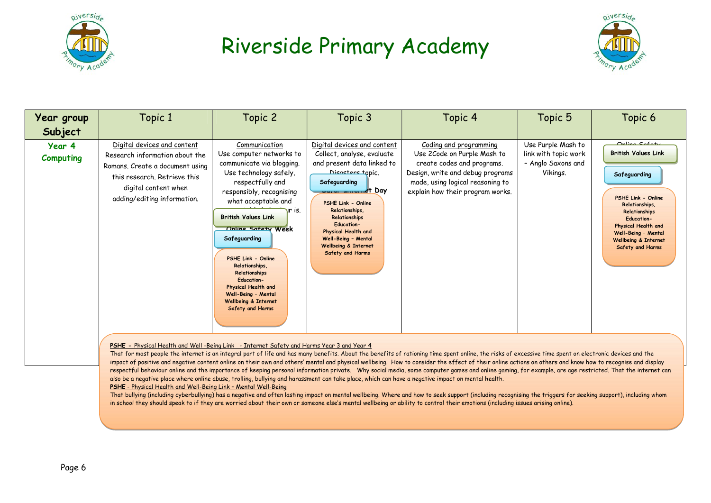



| Year group                 | Topic 1                                                                                                                                                                                 | Topic 2                                                                                                                                                                                                                                                                                                                                                                                                                       | Topic 3                                                                                                                                                                                                                                                                                                                                           | Topic 4                                                                                                                                                                                         | Topic 5                                                                      | Topic 6                                                                                                                                                                                                                                                      |
|----------------------------|-----------------------------------------------------------------------------------------------------------------------------------------------------------------------------------------|-------------------------------------------------------------------------------------------------------------------------------------------------------------------------------------------------------------------------------------------------------------------------------------------------------------------------------------------------------------------------------------------------------------------------------|---------------------------------------------------------------------------------------------------------------------------------------------------------------------------------------------------------------------------------------------------------------------------------------------------------------------------------------------------|-------------------------------------------------------------------------------------------------------------------------------------------------------------------------------------------------|------------------------------------------------------------------------------|--------------------------------------------------------------------------------------------------------------------------------------------------------------------------------------------------------------------------------------------------------------|
| Subject                    |                                                                                                                                                                                         |                                                                                                                                                                                                                                                                                                                                                                                                                               |                                                                                                                                                                                                                                                                                                                                                   |                                                                                                                                                                                                 |                                                                              |                                                                                                                                                                                                                                                              |
| Year 4<br><b>Computing</b> | Digital devices and content<br>Research information about the<br>Romans. Create a document using<br>this research. Retrieve this<br>digital content when<br>adding/editing information. | Communication<br>Use computer networks to<br>communicate via blogging.<br>Use technology safely,<br>respectfully and<br>responsibly, recognising<br>what acceptable and<br>ur is.<br><b>British Values Link</b><br>Online Sofety Week<br>Safeguarding<br>PSHE Link - Online<br>Relationships,<br>Relationships<br><b>Education-</b><br>Physical Health and<br>Well-Being - Mental<br>Wellbeing & Internet<br>Safety and Harms | Digital devices and content<br>Collect, analyse, evaluate<br>and present data linked to<br>Nicasters topic.<br>Safeguarding<br><u>Uurur Annumet</u> Day<br>PSHE Link - Online<br>Relationships,<br>Relationships<br><b>Education-</b><br>Physical Health and<br>Well-Being - Mental<br><b>Wellbeing &amp; Internet</b><br><b>Safety and Harms</b> | Coding and programming<br>Use 2Code on Purple Mash to<br>create codes and programs.<br>Design, write and debug programs<br>made, using logical reasoning to<br>explain how their program works. | Use Purple Mash to<br>link with topic work<br>- Anglo Saxons and<br>Vikings. | $On$ lina $Cn fn fn$<br><b>British Values Link</b><br>Safeguarding<br><b>PSHE Link - Online</b><br>Relationships.<br>Relationships<br><b>Education-</b><br>Physical Health and<br>Well-Being - Mental<br><b>Wellbeing &amp; Internet</b><br>Safety and Harms |

#### PSHE - Physical Health and Well -Being Link - Internet Safety and Harms Year 3 and Year 4

respecttui benaviour online and the importance ot keeping personal information private. Wny social media, some computer games and online ga<br>also be a negative place where online abuse, trolling, bullying and harassment can That for most people the internet is an integral part of life and has many benefits. About the benefits of rationing time spent online, the risks of excessive time spent on electronic devices and the impact of positive and negative content online on their own and others' mental and physical wellbeing. How to consider the effect of their online actions on others and know how to recognise and display respectful behaviour online and the importance of keeping personal information private. Why social media, some computer games and online gaming, for example, are age restricted. That the internet can

#### PSHE - Physical Health and Well-Being Link – Mental Well-Being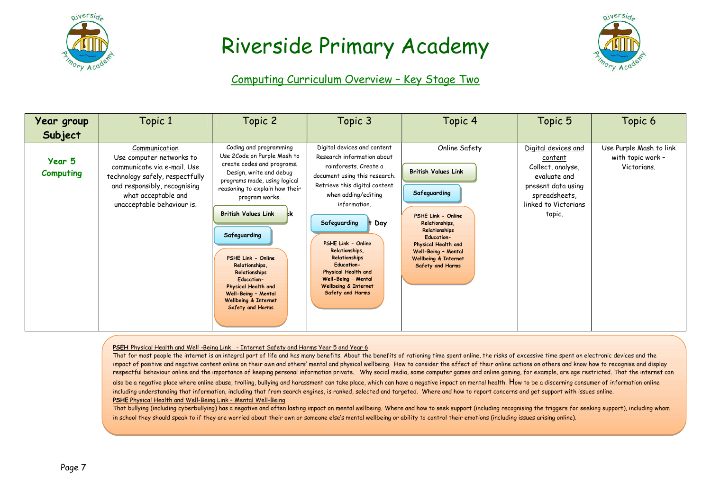



#### Computing Curriculum Overview – Key Stage Two

| Year group<br>Subject      | Topic 1                                                                                                                                                                                          | Topic 2                                                                                                                                                                                                                                                                                                                                                                                                                                           | Topic 3                                                                                                                                                                                                                                                                                                                                                                                               | Topic 4                                                                                                                                                                                                                                               | Topic 5                                                                                                                                      | Topic 6                                                     |
|----------------------------|--------------------------------------------------------------------------------------------------------------------------------------------------------------------------------------------------|---------------------------------------------------------------------------------------------------------------------------------------------------------------------------------------------------------------------------------------------------------------------------------------------------------------------------------------------------------------------------------------------------------------------------------------------------|-------------------------------------------------------------------------------------------------------------------------------------------------------------------------------------------------------------------------------------------------------------------------------------------------------------------------------------------------------------------------------------------------------|-------------------------------------------------------------------------------------------------------------------------------------------------------------------------------------------------------------------------------------------------------|----------------------------------------------------------------------------------------------------------------------------------------------|-------------------------------------------------------------|
| Year 5<br><b>Computing</b> | Communication<br>Use computer networks to<br>communicate via e-mail. Use<br>technology safely, respectfully<br>and responsibly, recognising<br>what acceptable and<br>unacceptable behaviour is. | Coding and programming<br>Use 2Code on Purple Mash to<br>create codes and programs.<br>Design, write and debug<br>programs made, using logical<br>reasoning to explain how their<br>program works.<br><b>British Values Link</b><br><b>I</b> k<br>Safeguarding<br>PSHE Link - Online<br>Relationships,<br>Relationships<br><b>Education-</b><br>Physical Health and<br>Well-Being - Mental<br><b>Wellbeing &amp; Internet</b><br>Safety and Harms | Digital devices and content<br>Research information about<br>rainforests. Create a<br>document using this research.<br>Retrieve this digital content<br>when adding/editing<br>information.<br>Safeguarding<br>Day<br>PSHE Link - Online<br>Relationships.<br>Relationships<br><b>Education-</b><br>Physical Health and<br>Well-Being - Mental<br><b>Wellbeing &amp; Internet</b><br>Safety and Harms | Online Safety<br><b>British Values Link</b><br>Safeguarding<br>PSHE Link - Online<br>Relationships,<br>Relationships<br><b>Education-</b><br>Physical Health and<br>Well-Being - Mental<br><b>Wellbeing &amp; Internet</b><br><b>Safety and Harms</b> | Digital devices and<br>content<br>Collect, analyse,<br>evaluate and<br>present data using<br>spreadsheets,<br>linked to Victorians<br>topic. | Use Purple Mash to link<br>with topic work -<br>Victorians. |

#### PSEH Physical Health and Well -Being Link - Internet Safety and Harms Year 5 and Year 6

That for most people the internet is an integral part of life and has many benefits. About the benefits of rationing time spent online, the risks of excessive time spent on electronic devices and the impact of positive and negative content online on their own and others' mental and physical wellbeing. How to consider the effect of their online actions on others and know how to recognise and display respectful behaviour online and the importance of keeping personal information private. Why social media, some computer games and online gaming, for example, are age restricted. That the internet can

also be a negative place where online abuse, trolling, bullying and harassment can take place, which can have a negative impact on mental health. How to be a discerning consumer of information online including understanding that information, including that from search engines, is ranked, selected and targeted. Where and how to report concerns and get support with issues online. PSHE Physical Health and Well-Being Link – Mental Well-Being